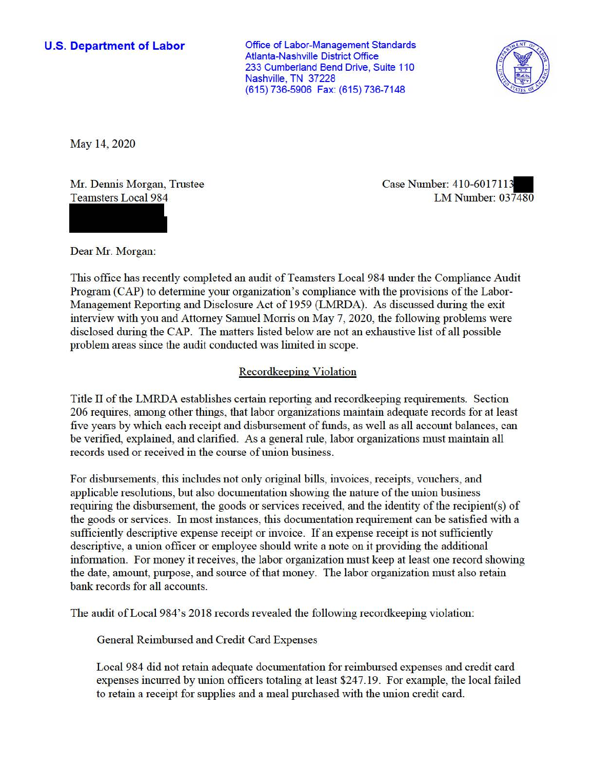## **U.S. Department of Labor**

Office of Labor-Management Standards Atlanta-Nashville District Office 233 Cumberland Bend Drive, Suite 110 Nashville, TN 37228 (615) 736-5906 Fax: (615) 736-7148



May 14, 2020

Mr. Dennis Morgan, Trustee Teamsters Local 984

Case Number: 410-6017113 LM Number: 037480

Dear Mr. Morgan:

This office has recently completed an audit of Teamsters Local 984 under the Compliance Audit Program (CAP) to detennine your organization's compliance with the provisions of the Labor-Management Reporting and Disclosure Act of 1959 (LMRDA). As discussed during the exit interview with you and Attorney Samuel Morris on May 7, 2020, the following problems were disclosed during the CAP. The matters listed below are not an exhaustive list of all possible problem areas since the audit conducted was limited in scope.

## Recordkeeping Violation

Title II of the LMRDA establishes certain reporting and recordkeeping requirements. Section 206 requires, among other things, that labor organizations maintain adequate records for at least five years by which each receipt and disbursement of funds, as well as all account balances, can be verified, explained, and clarified. As a general rule, labor organizations must maintain all records used or received in the course of union business.

For disbursements, this includes not only original bills, invoices, receipts, vouchers, and applicable resolutions, but also documentation showing the nature of the union business requiring the disbursement, the goods or services received, and the identity of the recipient(s) of the goods or services. In most instances, this documentation requirement can be satisfied with a sufficiently descriptive expense receipt or invoice. If an expense receipt is not sufficiently descriptive, a union officer or employee should write a note on it providing the additional information. For money it receives, the labor organization must keep at least one record showing the date, amount, purpose, and source of that money. The labor organization must also retain bank records for all accounts.

The audit of Local 984's 2018 records revealed the following recordkeeping violation:

General Reimbursed and Credit Card Expenses

Local 984 did not retain adequate documentation for reimbursed expenses and credit card expenses incurred by union officers totaling at least \$247.19. For example, the local failed to retain a receipt for supplies and a meal purchased with the union credit card.